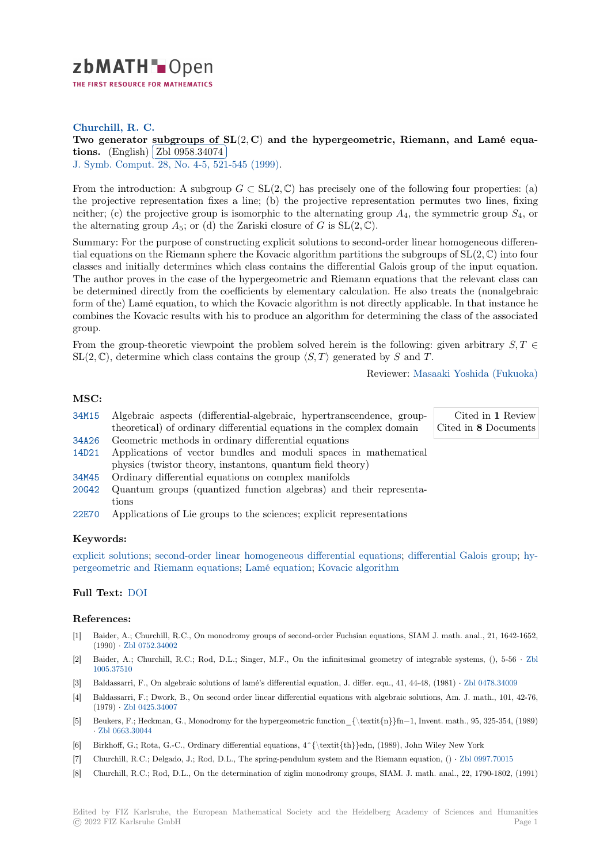

# **Churchill, R. C.**

# **[T](https://zbmath.org/)wo generator subgroups of SL**(2*,* **C**) **and the hypergeometric, Riemann, and Lamé equa tions.** (English) **Zbl** 0958.34074

**J.** Symb. Comput. 28, No. 4-5, 521-545 (1999).

[From the introduc](https://zbmath.org/authors/?q=ai:churchill.richard-c)tion: A subgroup  $G \subset SL(2,\mathbb{C})$  [has precisely one of the following four properties: \(a\)](https://zbmath.org/0958.34074) [the pr](https://zbmath.org/0958.34074)ojective re[presentation fixes](https://zbmath.org/0958.34074) a line; (b) the projective representation permutes two lines, fixing [neither; \(c\) the pr](https://zbmath.org/journals/?q=se:1072)[ojective group is isomorphic](https://zbmath.org/?q=in:61045) to the alternating group *A*4, the symmetric group *S*4, or the alternating group  $A_5$ ; or (d) the Zariski closure of *G* is  $SL(2,\mathbb{C})$ .

Summary: For the purpose of constructing explicit solutions to second-order linear homogeneous differential equations on the Riemann sphere the Kovacic algorithm partitions the subgroups of SL(2*,* C) into four classes and initially determines which class contains the differential Galois group of the input equation. The author proves in the case of the hypergeometric and Riemann equations that the relevant class can be determined directly from the coefficients by elementary calculation. He also treats the (nonalgebraic form of the) Lamé equation, to which the Kovacic algorithm is not directly applicable. In that instance he combines the Kovacic results with his to produce an algorithm for determining the class of the associated group.

From the group-theoretic viewpoint the problem solved herein is the following: given arbitrary *S, T ∈*  $SL(2,\mathbb{C})$ , determine which class contains the group  $\langle S,T \rangle$  generated by *S* and *T*.

Reviewer: Masaaki Yoshida (Fukuoka)

## **MSC:**

- 34M15 Algebraic aspects (differential-algebraic, hypertranscendence, grouptheoretical) of ordinary differential equations in the complex domain Cited in **1** Review Cited in **8** [Documents](https://zbmath.org/authors/?q=yoshida.masaaki)
- 34A26 Geometric methods in ordinary differential equations
- 14D21 Applications of vector bundles and moduli spaces in mathematical physics (twistor theory, instantons, quantum field theory)
- [34M45](https://zbmath.org/classification/?q=cc:34M15) Ordinary differential equations on complex manifolds
- [20G42](https://zbmath.org/classification/?q=cc:34A26) Quantum groups (quantized function algebras) and their representations
- [22E70](https://zbmath.org/classification/?q=cc:14D21) Applications of Lie groups to the sciences; explicit representations

### **[Keyw](https://zbmath.org/classification/?q=cc:20G42)ords:**

explicit solutions; second-order linear homogeneous differential equations; differential Galois group; hy[pergeo](https://zbmath.org/classification/?q=cc:22E70)metric and Riemann equations; Lamé equation; Kovacic algorithm

#### **Full Text:** DOI

#### **[References:](https://zbmath.org/?q=ut:hypergeometric+and+Riemann+equations)**

- [1] Baider, A.; Churchill, R.C., On monodromy groups of second-order Fuchsian equations, SIAM J. math. anal., 21, 1642-1652, (1990) *·* [Zbl 075](https://dx.doi.org/10.1006/jsco.1999.0313)2.34002
- [2] Baider, A.; Churchill, R.C.; Rod, D.L.; Singer, M.F., On the infinitesimal geometry of integrable systems, (), 5-56 *·* Zbl 1005.37510
- [3] Baldassarri, F., On algebraic solutions of lamé's differential equation, J. differ. equ., 41, 44-48, (1981) *·* Zbl 0478.34009
- [4] Baldass[arri, F.; Dwork,](https://zbmath.org/0752.34002) B., On second order linear differential equations with algebraic solutions, Am. J. math., 101, 42-76, (1979) *·* Zbl 0425.34007
- [5] [Beukers, F.](https://zbmath.org/1005.37510); Heckman, G., Monodromy for the hypergeometric function\_{\textit{n}}fn−1, Invent. math., 95, 325-354, (1989) *·* Zbl 0663.30044
- [6] Birkhoff, G.; Rota, G.-C., Ordinary differential equations, 4^{\textit{th}}edn, (1989), John Wiley New York
- [7] Churchil[l, R.C.; Delgado](https://zbmath.org/0425.34007), J.; Rod, D.L., The spring-pendulum system and the Riemann equation, () *·* Zbl 0997.70015
- [8] [Churchill, R.C.;](https://zbmath.org/0663.30044) Rod, D.L., On the determination of ziglin monodromy groups, SIAM. J. math. anal., 22, 1790-1802, (1991)